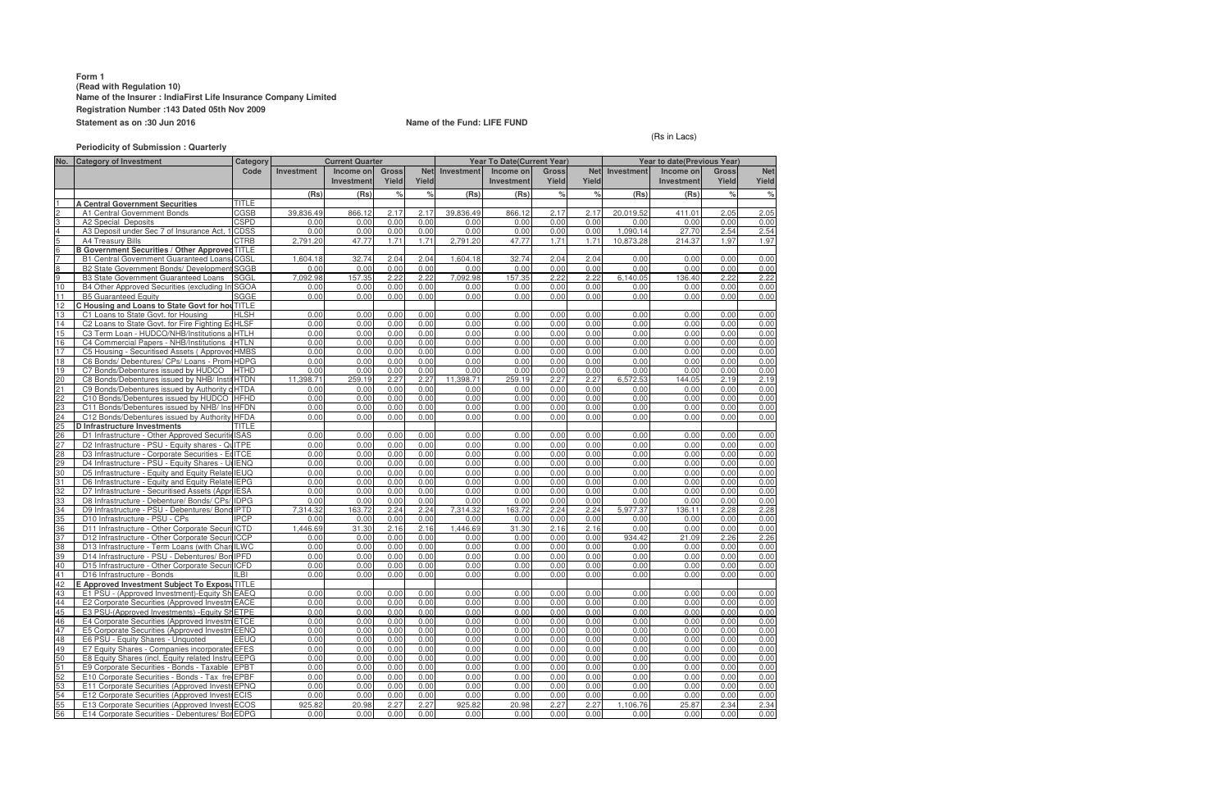## **Form 1 (Read with Regulation 10) Name of the Insurer : IndiaFirst Life Insurance Company Limited Registration Number :143 Dated 05th Nov 2009 Statement as on :30 Jun 2016 Name of the Fund: LIFE FUND**

**No. Category of Investment Investment Income on Investment Gross Yield Net Yield Investment Income on Investment Gross Yield Ne Yield Investment Income or Investment Gross Yield Ne Yield (Rs) (Rs) % % (Rs) (Rs) % % (Rs) (Rs) % %** 1 **A Central Government Securities** TITLE 2 A1 Central Government Bonds CGSB 39,836.49 866.12 2.17 2.17 39,836.49 866.12 2.17 2.17 20,019.52 411.01 2.05 2.05 3 | A2 Special Deposits | CSPD | 0.00 | 0.00 | 0.00 | 0.00 | 0.00 | 0.00 | 0.00 | 0.00 | 0.00 | 0.00 | 0.00 | 0.00 | 0.00 | 0.00 | 0.00 | 0.00 | 0.00 | 0.00 | 0.00 | 0.00 4 A3 Deposit under Sec 7 of Insurance Act, 1 CDSS component component component component component component component component component component component component component compo 5 A4 Treasury Bills CTRB 2,791.20 47.77 1.71 1.71 2,791.20 47.77 1.71 1.71 10,873.28 214.37 1.97 1.97 **B Government Securities / Other Approved TITLE** 7 B1 Central Government Guaranteed Loans/ Special/ N CGSL on-SLR Bonds 1,604.18 32.74 2.04 2.04 1,604.18 32.74 2.04 2.04 0.00 0.00 0.00 0.00 8 B2 State Government Bonds/ Development Loans SGGB0.00 0.00 0.00 0.00 0.00 0.00 0.00 0.00 0.00 0.00 0.00 0.00 9 B3 State Government Guaranteed Loans SGGL 7,092.98 157.35 2.22 2.22 7,092.98 157.35 2.22 2.22 6,140.05 136.40 2.22 2.22 10 B4 Other Approved Securities (excluding Infrastructur SGOA e Investments) 0.00 0.00 0.00 0.00 0.00 0.00 0.00 0.00 0.00 0.00 0.00 0.00 **B5 Guaranteed Equity** 12 **C Housing and Loans to State Govt for hou** TITLE **in the fight of Times in State Govt** for Housing **in the SH** 13 C1 Loans to State Govt. for Housing HLSH 0.00 0.00 0.00 0.00 0.00 0.00 0.00 0.00 0.00 0.00 0.00 0.00 14 C2 Loans to State Govt. for Fire Fighting Ed HLSF 15 C3 Term Loan - HUDCO/NHB/Institutions accredited by HTLH NHB 0.00 0.00 0.00 0.00 0.00 0.00 0.00 0.00 0.00 0.00 0.00 0.00 16 C4 Commercial Papers - NHB/Institutions accredited by HTLN NHB 0.00 0.00 0.00 0.00 0.00 0.00 0.00 0.00 0.00 0.00 0.00 0.00 17 C5 Housing - Securitised Assets ( Approved Investment) HMBS 0.00 0.00 0.00 0.00 0.00 0.00 0.00 0.00 0.00 0.00 0.00 0.00 18 C6 Bonds/ Debentures/ CPs/ Loans - Prom 19 C7 Bonds/Debentures issued by HUDCO HTHD 0.00 0.00 0.00 0.00 0.00 0.00 0.00 0.00 0.00 0.00 0.00 0.00 C8 Bonds/Debentures issued by NHB/ Institutions accredit HTDN 21 C9 Bonds/Debentures issued by Authority constituted un HTDA der any Housing/Building scheme approved by Central/St 0.00 0.00 0.00 0.00 0.00ate/any Authority or Body constituted by Central/Stat 0.00 0.00 0.00 0.00 e Act. 0.00 0.00 0.00 22 C10 Bonds/Debentures issued by HUDCO HFHD 0.00 0.00 0.00 0.00 0.00 0.00 0.00 0.00 0.00 0.00 0.00 0.00 23 C11 Bonds/Debentures issued by NHB/ Institutions accredi HFDN ted by NHB 0.00 0.00 0.00 0.00 0.00 0.00 0.00 0.00 0.00 0.00 0.00 0.00 C12 Bonds/Debentures issued by Authority **D Infrastructure Investments** TITLE 26 D1 Infrastructure - Other Approved SecuritiesISAS 0.00 0.00 0.00 0.00 0.00 0.00 0.00 0.00 0.00 0.00 0.00 0.00 27 D2 Infrastructure - PSU - Equity shares - Quoted ITPE 0.00 0.00 0.00 0.00 0.00 0.00 0.00 0.00 0.00 0.00 0.00 0.00 29 D3 Infrastructure - Corporate Securities - EqlTCE  $\begin{bmatrix} 0.00 & 0.00 & 0.00 & 0.00 \end{bmatrix}$ 29 D4 Infrastructure - PSU - Equity Shares - Unquoted IENQ 0.00 0.00 0.00 0.00 0.00 0.00 0.00 0.00 0.00 0.00 0.00 0.00 30 D5 Infrastructure - Equity and Equity Related Instr IEUQuments (Promoter Group) 0.00 0.00 0.00 0.00 0.00 0.00 0.00 0.00 0.00 0.00 0.00 0.00 31 D6 Infrastructure - Equity and Equity Related Instr IEPG uments (Promoter Group) 0.00 0.00 0.00 0.00 0.00 0.00 0.00 0.00 0.00 0.00 0.00 0.00 32 D7 Infrastructure - Securitised Assets (Appr IESA 33 D8 Infrastructure - Debenture/ Bonds/ CPs/ IDPG 0.00 0.00 0.00 0.00 0.00 0.00 0.00 0.00 0.00 0.00 0.00 0.00 0.00 0.00 0.00 0.00 0.00 0.00 0.00 0.00 0.00 0.00 0.00 0.00 34 D9 Infrastructure - PSU - Debentures/ Bond IPTD 35 D10 Infrastructure - PSU - CPs IPCP 0.00 0.00 0.00 0.00 0.00 0.00 0.00 0.00 0.00 0.00 0.00 0.00 36 D11 Infrastructure - Other Corporate Securities- Deb ICTD entures/ Bonds 1,446.69 31.30 2.16 2.16 1,446.69 31.30 2.16 2.16 0.00 0.00 0.00 0.00 37 D12 Infrastructure - Other Corporate Securities - CP ICCP s 0.00 0.00 0.00 0.00 0.00 0.00 0.00 0.00 934.42 21.09 2.26 2.26 38 D13 Infrastructure - Term Loans (with Charge) ILWC 0.00 0.00 0.00 0.00 0.00 0.00 0.00 0.00 0.00 0.00 0.00 0.00 39 D14 Infrastructure - PSU - Debentures/ BondsIPFD 0.00 0.00 0.00 0.00 0.00 0.00 0.00 0.00 0.00 0.00 0.00 0.00 D15 Infrastructure - Other Corporate Securi<sup>ICFD</sup> 41 D16 Infrastructure - Bonds ILBI 0.00 0.00 0.00 0.00 0.00 0.00 0.00 0.00 0.00 0.00 0.00 0.00 **E Approved Investment Subject To Exposure TITLE** 43 E1 PSU - (Approved Investment)-Equity Shares quote EAEQ d 0.00 0.00 0.00 0.00 0.00 0.00 0.00 0.00 0.00 0.00 0.00 0.00 44 E2 Corporate Securities (Approved Investment ) -Equ EACE ity Shares (ordinary)-Quoted 0.00 0.00 0.00 0.00 0.00 0.00 0.00 0.00 0.00 0.00 0.00 0.00 45 E3 PSU-(Approved Investments) -Equity Shares -quote ETPE d 0.00 0.00 0.00 0.00 0.00 0.00 0.00 0.00 0.00 0.00 0.00 0.00 46 E4 Corporate Securities (Approved Investment ) -Equ ETCE ity Shares -Quoted 0.00 0.00 0.00 0.00 0.00 0.00 0.00 0.00 0.00 0.00 0.00 0.00 47 E5 Corporate Securities (Approved Investment ) -Equ EENQ ity Unquoted0.00 0.00 0.00 0.00 0.00 0.00 0.00 0.00 0.00 0.00 0.00 0.00 48 E6 PSU - Equity Shares - Unquoted 49 E7 Equity Shares - Companies incorporated outside In EFES dia (invested prior to IRDA Regulations) 0.00 0.00 0.00 0.00 0.00 0.00 0.00 0.00 0.00 0.00 0.00 0.00 50 E8 Equity Shares (incl. Equity related Instruments) EEPG - Promoter Group 0.00 0.00 0.00 0.00 0.00 0.00 0.00 0.00 0.00 0.00 0.00 0.00 51 E9 Corporate Securities - Bonds - Taxable EPBT 0.00 0.00 0.00 0.00 0.00 0.00 0.00 0.00 0.00 0.00 0.00 0.00 E10 Corporate Securities - Bonds - Tax freeEPBF 53 E11 Corporate Securities (Approved Investment ) -Pr EPNQ ef Shares 0.00 0.00 0.00 0.00 0.00 0.00 0.00 0.00 0.00 0.00 0.00 0.00 54 E12 Corporate Securities (Approved Investment ) -In ECIS vestment in Subsidiaries 0.00 0.00 0.00 0.00 0.00 0.00 0.00 0.00 0.00 0.00 0.00 0.00 55 E13 Corporate Securities (Approved Investment ) -De ECOS bentures 925.82 20.98 2.27 2.27 925.82 20.98 2.27 2.27 1,106.76 25.87 2.34 2.34 E14 Corporate Securities - Debentures/ Bor EDPG **Categor Code Current Quarter Current Ouarter Accord Vear To Date(Current Year)** Year to date(Previous Year)

(Rs in Lacs)

### **Periodicity of Submission : Quarterly**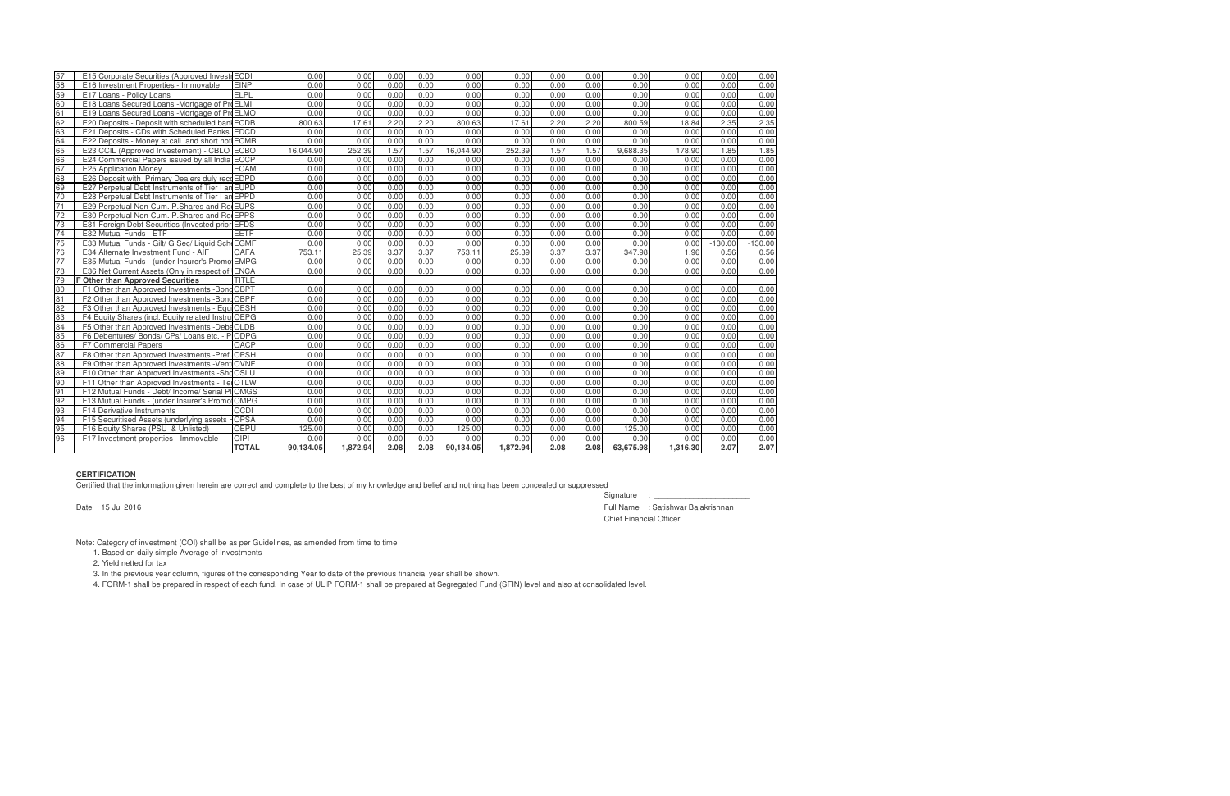| 57 | E15 Corporate Securities (Approved Investr ECDI    |              | 0.00      | 0.00     | 0.00 | 0.00 | 0.00      | 0.00     | 0.00 | 0.00 | 0.00      | 0.00     | 0.00      | 0.00      |
|----|----------------------------------------------------|--------------|-----------|----------|------|------|-----------|----------|------|------|-----------|----------|-----------|-----------|
| 58 | E16 Investment Properties - Immovable              | <b>FINP</b>  | 0.00      | 0.00     | 0.00 | 0.00 | 0.00      | 0.00     | 0.00 | 0.00 | 0.00      | 0.00     | 0.00      | 0.00      |
| 59 | E17 Loans - Policy Loans                           | ELPL         | 0.00      | 0.00     | 0.00 | 0.00 | 0.00      | 0.00     | 0.00 | 0.00 | 0.00      | 0.00     | 0.00      | 0.00      |
| 60 | E18 Loans Secured Loans - Mortgage of ProELMI      |              | 0.00      | 0.00     | 0.00 | 0.00 | 0.00      | 0.00     | 0.00 | 0.00 | 0.00      | 0.00     | 0.00      | 0.00      |
| 61 | E19 Loans Secured Loans -Mortgage of ProELMO       |              | 0.00      | 0.00     | 0.00 | 0.00 | 0.00      | 0.00     | 0.00 | 0.00 | 0.00      | 0.00     | 0.00      | 0.00      |
| 62 | E20 Deposits - Deposit with scheduled ban ECDB     |              | 800.63    | 17.61    | 2.20 | 2.20 | 800.63    | 17.61    | 2.20 | 2.20 | 800.59    | 18.84    | 2.35      | 2.35      |
| 63 | E21 Deposits - CDs with Scheduled Banks EDCD       |              | 0.00      | 0.00     | 0.00 | 0.00 | 0.00      | 0.00     | 0.00 | 0.00 | 0.00      | 0.00     | 0.00      | 0.00      |
| 64 | E22 Deposits - Money at call and short not ECMR    |              | 0.00      | 0.00     | 0.00 | 0.00 | 0.00      | 0.00     | 0.00 | 0.00 | 0.00      | 0.00     | 0.00      | 0.00      |
| 65 | E23 CCIL (Approved Investement) - CBLO ECBO        |              | 16.044.90 | 252.39   | 1.57 | 1.57 | 16.044.90 | 252.39   | 1.57 | 1.57 | 9.688.35  | 178.90   | 1.85      | 1.85      |
| 66 | E24 Commercial Papers issued by all India ECCP     |              | 0.00      | 0.00     | 0.00 | 0.00 | 0.00      | 0.00     | 0.00 | 0.00 | 0.00      | 0.00     | 0.00      | 0.00      |
| 67 | <b>E25 Application Money</b>                       | <b>ECAM</b>  | 0.00      | 0.00     | 0.00 | 0.00 | 0.00      | 0.00     | 0.00 | 0.00 | 0.00      | 0.00     | 0.00      | 0.00      |
| 68 | E26 Deposit with Primary Dealers duly rece EDPD    |              | 0.00      | 0.00     | 0.00 | 0.00 | 0.00      | 0.00     | 0.00 | 0.00 | 0.00      | 0.00     | 0.00      | 0.00      |
| 69 | E27 Perpetual Debt Instruments of Tier I an EUPD   |              | 0.00      | 0.00     | 0.00 | 0.00 | 0.00      | 0.00     | 0.00 | 0.00 | 0.00      | 0.00     | 0.00      | 0.00      |
| 70 | E28 Perpetual Debt Instruments of Tier I an EPPD   |              | 0.00      | 0.00     | 0.00 | 0.00 | 0.00      | 0.00     | 0.00 | 0.00 | 0.00      | 0.00     | 0.00      | 0.00      |
| 71 | E29 Perpetual Non-Cum. P. Shares and Re EUPS       |              | 0.00      | 0.00     | 0.00 | 0.00 | 0.00      | 0.00     | 0.00 | 0.00 | 0.00      | 0.00     | 0.00      | 0.00      |
| 72 | E30 Perpetual Non-Cum. P.Shares and Re EPPS        |              | 0.00      | 0.00     | 0.00 | 0.00 | 0.00      | 0.00     | 0.00 | 0.00 | 0.00      | 0.00     | 0.00      | 0.00      |
| 73 | E31 Foreign Debt Securities (Invested prior EFDS   |              | 0.00      | 0.00     | 0.00 | 0.00 | 0.00      | 0.00     | 0.00 | 0.00 | 0.00      | 0.00     | 0.00      | 0.00      |
| 74 | E32 Mutual Funds - ETF                             | <b>EETF</b>  | 0.00      | 0.00     | 0.00 | 0.00 | 0.00      | 0.00     | 0.00 | 0.00 | 0.00      | 0.00     | 0.00      | 0.00      |
| 75 | E33 Mutual Funds - Gilt/ G Sec/ Liquid Sch EGMF    |              | 0.00      | 0.00     | 0.00 | 0.00 | 0.00      | 0.00     | 0.00 | 0.00 | 0.00      | 0.00     | $-130.00$ | $-130.00$ |
| 76 | E34 Alternate Investment Fund - AIF                | <b>OAFA</b>  | 753.11    | 25.39    | 3.37 | 3.37 | 753.11    | 25.39    | 3.37 | 3.37 | 347.98    | 1.96     | 0.56      | 0.56      |
| 77 | E35 Mutual Funds - (under Insurer's Prome          | <b>EMPG</b>  | 0.00      | 0.00     | 0.00 | 0.00 | 0.00      | 0.00     | 0.00 | 0.00 | 0.00      | 0.00     | 0.00      | 0.00      |
| 78 | E36 Net Current Assets (Only in respect of         | <b>ENCA</b>  | 0.00      | 0.00     | 0.00 | 0.00 | 0.00      | 0.00     | 0.00 | 0.00 | 0.00      | 0.00     | 0.00      | 0.00      |
| 79 | <b>F Other than Approved Securities</b>            | <b>TITLE</b> |           |          |      |      |           |          |      |      |           |          |           |           |
| 80 | F1 Other than Approved Investments - Bond OBPT     |              | 0.00      | 0.00     | 0.00 | 0.00 | 0.00      | 0.00     | 0.00 | 0.00 | 0.00      | 0.00     | 0.00      | 0.00      |
| 81 | F2 Other than Approved Investments -Bond OBPF      |              | 0.00      | 0.00     | 0.00 | 0.00 | 0.00      | 0.00     | 0.00 | 0.00 | 0.00      | 0.00     | 0.00      | 0.00      |
| 82 | F3 Other than Approved Investments - Equi OESH     |              | 0.00      | 0.00     | 0.00 | 0.00 | 0.00      | 0.00     | 0.00 | 0.00 | 0.00      | 0.00     | 0.00      | 0.00      |
| 83 | F4 Equity Shares (incl. Equity related Instru OEPG |              | 0.00      | 0.00     | 0.00 | 0.00 | 0.00      | 0.00     | 0.00 | 0.00 | 0.00      | 0.00     | 0.00      | 0.00      |
| 84 | F5 Other than Approved Investments -DebeOLDB       |              | 0.00      | 0.00     | 0.00 | 0.00 | 0.00      | 0.00     | 0.00 | 0.00 | 0.00      | 0.00     | 0.00      | 0.00      |
| 85 | F6 Debentures/ Bonds/ CPs/ Loans etc. - PODPG      |              | 0.00      | 0.00     | 0.00 | 0.00 | 0.00      | 0.00     | 0.00 | 0.00 | 0.00      | 0.00     | 0.00      | 0.00      |
| 86 | <b>F7 Commercial Papers</b>                        | OACP         | 0.00      | 0.00     | 0.00 | 0.00 | 0.00      | 0.00     | 0.00 | 0.00 | 0.00      | 0.00     | 0.00      | 0.00      |
| 87 | F8 Other than Approved Investments -Pref OPSH      |              | 0.00      | 0.00     | 0.00 | 0.00 | 0.00      | 0.00     | 0.00 | 0.00 | 0.00      | 0.00     | 0.00      | 0.00      |
| 88 | F9 Other than Approved Investments - Vent OVNF     |              | 0.00      | 0.00     | 0.00 | 0.00 | 0.00      | 0.00     | 0.00 | 0.00 | 0.00      | 0.00     | 0.00      | 0.00      |
| 89 | F10 Other than Approved Investments - Sho OSLU     |              | 0.00      | 0.00     | 0.00 | 0.00 | 0.00      | 0.00     | 0.00 | 0.00 | 0.00      | 0.00     | 0.00      | 0.00      |
| 90 | F11 Other than Approved Investments - Tel OTLW     |              | 0.00      | 0.00     | 0.00 | 0.00 | 0.00      | 0.00     | 0.00 | 0.00 | 0.00      | 0.00     | 0.00      | 0.00      |
| 91 | F12 Mutual Funds - Debt/ Income/ Serial PIIOMGS    |              | 0.00      | 0.00     | 0.00 | 0.00 | 0.00      | 0.00     | 0.00 | 0.00 | 0.00      | 0.00     | 0.00      | 0.00      |
| 92 | F13 Mutual Funds - (under Insurer's Promo OMPG     |              | 0.00      | 0.00     | 0.00 | 0.00 | 0.00      | 0.00     | 0.00 | 0.00 | 0.00      | 0.00     | 0.00      | 0.00      |
| 93 | <b>F14 Derivative Instruments</b>                  | <b>OCDI</b>  | 0.00      | 0.00     | 0.00 | 0.00 | 0.00      | 0.00     | 0.00 | 0.00 | 0.00      | 0.00     | 0.00      | 0.00      |
| 94 | F15 Securitised Assets (underlying assets          | <b>FOPSA</b> | 0.00      | 0.00     | 0.00 | 0.00 | 0.00      | 0.00     | 0.00 | 0.00 | 0.00      | 0.00     | 0.00      | 0.00      |
| 95 | F16 Equity Shares (PSU & Unlisted)                 | <b>OEPU</b>  | 125.00    | 0.00     | 0.00 | 0.00 | 125.00    | 0.00     | 0.00 | 0.00 | 125.00    | 0.00     | 0.00      | 0.00      |
| 96 | F17 Investment properties - Immovable              | <b>OIPI</b>  | 0.00      | 0.00     | 0.00 | 0.00 | 0.00      | 0.00     | 0.00 | 0.00 | 0.00      | 0.00     | 0.00      | 0.00      |
|    |                                                    | <b>TOTAL</b> | 90,134.05 | 1,872.94 | 2.08 | 2.08 | 90,134.05 | 1,872.94 | 2.08 | 2.08 | 63,675.98 | 1,316.30 | 2.07      | 2.07      |

Signature : \_\_\_\_\_\_ Date : 15 Jul 2016 Full Name : Satishwar Balakrishnan Chief Financial Officer

## **CERTIFICATION**

Certified that the information given herein are correct and complete to the best of my knowledge and belief and nothing has been concealed or suppressed

Note: Category of investment (COI) shall be as per Guidelines, as amended from time to time

1. Based on daily simple Average of Investments

2. Yield netted for tax

3. In the previous year column, figures of the corresponding Year to date of the previous financial year shall be shown.

4. FORM-1 shall be prepared in respect of each fund. In case of ULIP FORM-1 shall be prepared at Segregated Fund (SFIN) level and also at consolidated level.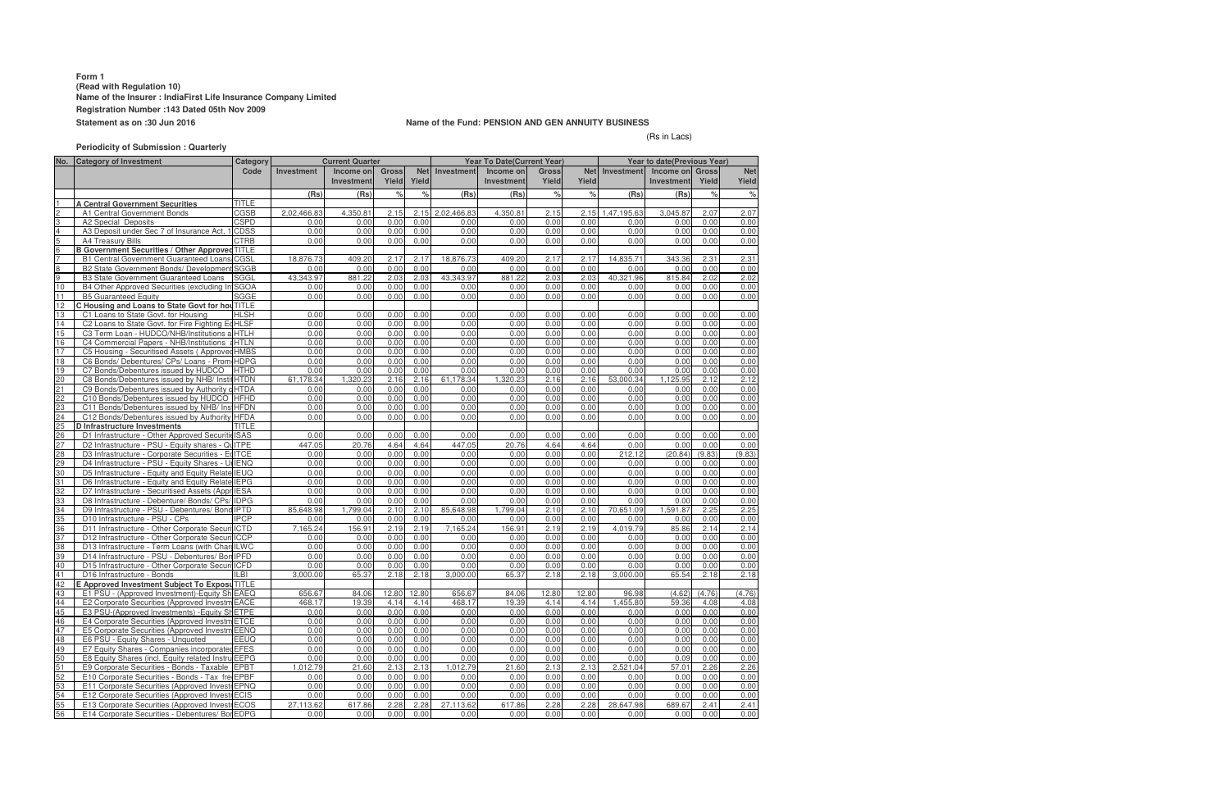## **Form 1 (Read with Regulation 10) Name of the Insurer : IndiaFirst Life Insurance Company Limited Registration Number :143 Dated 05th Nov 2009 Statement as on :30 Jun 2016 Name of the Fund: PENSION AND GEN ANNUITY BUSINESS**

(Rs in Lacs)

# **Periodicity of Submission : Quarterly**

|                 | No. Category of Investment                            | Category     |                   | <b>Current Quarter</b>  |                       | <b>Year To Date (Current Year)</b> |                   |                                |                       | <b>Year to date (Previous Year)</b> |                   |                                             |        |                     |
|-----------------|-------------------------------------------------------|--------------|-------------------|-------------------------|-----------------------|------------------------------------|-------------------|--------------------------------|-----------------------|-------------------------------------|-------------------|---------------------------------------------|--------|---------------------|
|                 |                                                       | Code         | <b>Investment</b> | Income on<br>Investment | <b>Gross</b><br>Yield | <b>Net</b><br>Yield                | <b>Investment</b> | Income on<br><b>Investment</b> | <b>Gross</b><br>Yield | <b>Net</b><br>Yield                 | <b>Investment</b> | <b>Income on Gross</b><br><b>Investment</b> | Yield  | <b>Net</b><br>Yield |
|                 |                                                       |              | (Rs)              | (Rs)                    | $\frac{9}{6}$         | $\%$                               | (Rs)              | (Rs)                           | $\frac{1}{6}$         | $\frac{1}{6}$                       | (Rs)              | (Rs)                                        | $\%$   | $\frac{1}{6}$       |
|                 | <b>A Central Government Securities</b>                | <b>TITLE</b> |                   |                         |                       |                                    |                   |                                |                       |                                     |                   |                                             |        |                     |
|                 | A1 Central Government Bonds                           | CGSB         | 2,02,466.83       | 4,350.81                | 2.15                  | 2.15                               | 2,02,466.83       | 4,350.81                       | 2.15                  |                                     | 2.15 1.47,195.63  | 3.045.87                                    | 2.07   | 2.07                |
| 3               | A2 Special Deposits                                   | <b>CSPD</b>  | 0.00              | 0.00                    | 0.00                  | 0.00                               | 0.00              | 0.00                           | 0.00                  | 0.00                                | 0.00              | 0.00                                        | 0.00   | 0.00                |
| $\overline{4}$  | A3 Deposit under Sec 7 of Insurance Act,              | 1 CDSS       | 0.00              | 0.00                    | 0.00                  | 0.00                               | 0.00              | 0.00                           | 0.00                  | 0.00                                | 0.00              | 0.00                                        | 0.00   | 0.00                |
| 5               | A4 Treasury Bills                                     | <b>CTRB</b>  | 0.00              | 0.00                    | 0.00                  | 0.00                               | 0.00              | 0.00                           | 0.00                  | 0.00                                | 0.00              | 0.00                                        | 0.00   | 0.00                |
| $6\overline{6}$ | <b>B Government Securities / Other Approved TITLE</b> |              |                   |                         |                       |                                    |                   |                                |                       |                                     |                   |                                             |        |                     |
|                 | <b>B1 Central Government Guaranteed Loans CGSL</b>    |              | 18,876.73         | 409.20                  | 2.17                  | 2.17                               | 18,876.73         | 409.20                         | 2.17                  | 2.17                                | 14,835.71         | 343.36                                      | 2.31   | 2.31                |
| $\bf8$          | B2 State Government Bonds/ Development SGGB           |              | 0.00              | 0.00                    | 0.00                  | 0.00                               | 0.00              | 0.00                           | 0.00                  | 0.00                                | 0.00              | 0.00                                        | 0.00   | 0.00                |
| 9               | <b>B3 State Government Guaranteed Loans</b>           | <b>SGGL</b>  | 43,343.97         | 881.22                  | 2.03                  | 2.03                               | 43,343.97         | 881.22                         | 2.03                  | 2.03                                | 40,321.96         | 815.84                                      | 2.02   | 2.02                |
| 10              | B4 Other Approved Securities (excluding In SGOA       |              | 0.00              | 0.00                    | 0.00                  | 0.00                               | 0.00              | 0.00                           | 0.00                  | 0.00                                | 0.00              | 0.00                                        | 0.00   | 0.00                |
| 11              | <b>B5 Guaranteed Equity</b>                           | SGGE         | 0.00              | 0.00                    | 0.00                  | 0.00                               | 0.00              | 0.00                           | 0.00                  | 0.00                                | 0.00              | 0.00                                        | 0.00   | 0.00                |
| 12              | C Housing and Loans to State Govt for hou TITLE       |              |                   |                         |                       |                                    |                   |                                |                       |                                     |                   |                                             |        |                     |
| 13              | C1 Loans to State Govt. for Housing                   | <b>HLSH</b>  | 0.00              | 0.00                    | 0.00                  | 0.00                               | 0.00              | 0.00                           | 0.00                  | 0.00                                | 0.00              | 0.00                                        | 0.00   | 0.00                |
| 14              | C2 Loans to State Govt. for Fire Fighting EdHLSF      |              | 0.00              | 0.00                    | 0.00                  | 0.00                               | 0.00              | 0.00                           | 0.00                  | 0.00                                | 0.00              | 0.00                                        | 0.00   | 0.00                |
| 15              | C3 Term Loan - HUDCO/NHB/Institutions a HTLH          |              | 0.00              | 0.00                    | 0.00                  | 0.00                               | 0.00              | 0.00                           | 0.00                  | 0.00                                | 0.00              | 0.00                                        | 0.00   | 0.00                |
| 16              | C4 Commercial Papers - NHB/Institutions & HTLN        |              | 0.00              | 0.00                    | 0.00                  | 0.00                               | 0.00              | 0.00                           | 0.00                  | 0.00                                | 0.00              | 0.00                                        | 0.00   | 0.00                |
| 17              | C5 Housing - Securitised Assets (Approved HMBS        |              | 0.00              | 0.00                    | 0.00                  | 0.00                               | 0.00              | 0.00                           | 0.00                  | 0.00                                | 0.00              | 0.00                                        | 0.00   | 0.00                |
| 18              | C6 Bonds/ Debentures/ CPs/ Loans - Prom HDPG          |              | 0.00              | 0.00                    | 0.00                  | 0.00                               | 0.00              | 0.00                           | 0.00                  | 0.00                                | 0.00              | 0.00                                        | 0.00   | 0.00                |
| 19              | C7 Bonds/Debentures issued by HUDCO                   | <b>HTHD</b>  | 0.00              | 0.00                    | 0.00                  | 0.00                               | 0.00              | 0.00                           | 0.00                  | 0.00                                | 0.00              | 0.00                                        | 0.00   | 0.00                |
| 20              | C8 Bonds/Debentures issued by NHB/ InstitHTDN         |              | 61,178.34         | 1,320.23                | 2.16                  | 2.16                               | 61,178.34         | 1,320.23                       | 2.16                  | 2.16                                | 53,000.34         | 1,125.95                                    | 2.12   | 2.12                |
| 21              | C9 Bonds/Debentures issued by Authority o HTDA        |              | 0.00              | 0.00                    | 0.00                  | 0.00                               | 0.00              | 0.00                           | 0.00                  | 0.00                                | 0.00              | 0.00                                        | 0.00   | 0.00                |
| 22              | C10 Bonds/Debentures issued by HUDCO HFHD             |              | 0.00              | 0.00                    | 0.00                  | 0.00                               | 0.00              | 0.00                           | 0.00                  | 0.00                                | 0.00              | 0.00                                        | 0.00   | 0.00                |
| 23              | C11 Bonds/Debentures issued by NHB/ InstHFDN          |              | 0.00              | 0.00                    | 0.00                  | 0.00                               | 0.00              | 0.00                           | 0.00                  | 0.00                                | 0.00              | 0.00                                        | 0.00   | 0.00                |
| 24              | C12 Bonds/Debentures issued by Authority HFDA         |              | 0.00              | 0.00                    | 0.00                  | 0.00                               | 0.00              | 0.00                           | 0.00                  | 0.00                                | 0.00              | 0.00                                        | 0.00   | 0.00                |
| 25              | <b>D</b> Infrastructure Investments                   | <b>TITLE</b> |                   |                         |                       |                                    |                   |                                |                       |                                     |                   |                                             |        |                     |
| 26              | D1 Infrastructure - Other Approved Securitie ISAS     |              | 0.00              | 0.00                    | 0.00                  | 0.00                               | 0.00              | 0.00                           | 0.00                  | 0.00                                | 0.00              | 0.00                                        | 0.00   | 0.00                |
| 27              | D2 Infrastructure - PSU - Equity shares - QuITPE      |              | 447.05            | 20.76                   | 4.64                  | 4.64                               | 447.05            | 20.76                          | 4.64                  | 4.64                                | 0.00              | 0.00                                        | 0.00   | 0.00                |
| 28              | D3 Infrastructure - Corporate Securities - EdITCE     |              | 0.00              | 0.00                    | 0.00                  | 0.00                               | 0.00              | 0.00                           | 0.00                  | 0.00                                | 212.12            | (20.84)                                     | (9.83) | (9.83)              |
| 29<br>30        | D4 Infrastructure - PSU - Equity Shares - UI IENQ     |              | 0.00              | 0.00                    | 0.00                  | 0.00                               | 0.00              | 0.00                           | 0.00                  | 0.00                                | 0.00              | 0.00                                        | 0.00   | 0.00                |
|                 | D5 Infrastructure - Equity and Equity Relate IEUQ     |              | 0.00              | 0.00                    | 0.00                  | 0.00                               | 0.00              | 0.00                           | 0.00                  | 0.00                                | 0.00              | 0.00                                        | 0.00   | 0.00                |
| 31              | D6 Infrastructure - Equity and Equity Relate IEPG     |              | 0.00              | 0.00                    | 0.00                  | 0.00                               | 0.00              | 0.00                           | 0.00                  | 0.00                                | 0.00              | 0.00                                        | 0.00   | 0.00                |
| 32              | D7 Infrastructure - Securitised Assets (Appr IESA     |              | 0.00              | 0.00                    | 0.00                  | 0.00                               | 0.00              | 0.00                           | 0.00                  | 0.00                                | 0.00              | 0.00                                        | 0.00   | 0.00                |
| 33              | D8 Infrastructure - Debenture/ Bonds/ CPs/ IDPG       |              | 0.00              | 0.00                    | 0.00                  | 0.00                               | 0.00              | 0.00                           | 0.00                  | 0.00                                | 0.00              | 0.00                                        | 0.00   | 0.00                |
| 34              | D9 Infrastructure - PSU - Debentures/ Bond IPTD       |              | 85,648.98         | 1,799.04                | 2.10                  | 2.10                               | 85,648.98         | 1,799.04                       | 2.10                  | 2.10                                | 70,651.09         | 1,591.87                                    | 2.25   | 2.25                |
| 35              | D10 Infrastructure - PSU - CPs                        | <b>IPCP</b>  | 0.00              | 0.00                    | 0.00                  | 0.00                               | 0.00              | 0.00                           | 0.00                  | 0.00                                | 0.00              | 0.00                                        | 0.00   | 0.00                |
| 36              | D11 Infrastructure - Other Corporate Securi ICTD      |              | 7,165.24          | 156.91                  | 2.19                  | 2.19                               | 7,165.24          | 156.91                         | 2.19                  | 2.19                                | 4,019.79          | 85.86                                       | 2.14   | 2.14                |
| 37              | D12 Infrastructure - Other Corporate Securi ICCP      |              | 0.00              | 0.00                    | 0.00                  | 0.00                               | 0.00              | 0.00                           | 0.00                  | 0.00                                | 0.00              | 0.00                                        | 0.00   | 0.00                |
| 38              | D13 Infrastructure - Term Loans (with Charl ILWC      |              | 0.00              | 0.00                    | 0.00                  | 0.00                               | 0.00              | 0.00                           | 0.00                  | 0.00                                | 0.00              | 0.00                                        | 0.00   | 0.00                |
| 39              | D14 Infrastructure - PSU - Debentures/ Bon IPFD       |              | 0.00              | 0.00                    | 0.00                  | 0.00                               | 0.00              | 0.00                           | 0.00                  | 0.00                                | 0.00              | 0.00                                        | 0.00   | 0.00                |
| 40              | D15 Infrastructure - Other Corporate Securi ICFD      |              | 0.00              | 0.00                    | 0.00                  | 0.00                               | 0.00              | 0.00                           | 0.00                  | 0.00                                | 0.00              | 0.00                                        | 0.00   | 0.00                |
| 41              | D16 Infrastructure - Bonds                            | ILBI         | 3,000.00          | 65.37                   | 2.18                  | 2.18                               | 3,000.00          | 65.37                          | 2.18                  | 2.18                                | 3.000.00          | 65.54                                       | 2.18   | 2.18                |
| 42              | E Approved Investment Subject To Exposu TITLE         |              |                   |                         |                       |                                    |                   |                                |                       |                                     |                   |                                             |        |                     |
| 43              | E1 PSU - (Approved Investment)-Equity Sh EAEQ         |              | 656.67            | 84.06                   | 12.80                 | 12.80                              | 656.67            | 84.06                          | 12.80                 | 12.80                               | 96.98             | (4.62)                                      | (4.76) | (4.76)              |
| 44              | E2 Corporate Securities (Approved Investm EACE        |              | 468.17            | 19.39                   | 4.14                  | 4.14                               | 468.17            | 19.39                          | 4.14                  | 4.14                                | 1,455.80          | 59.36                                       | 4.08   | 4.08                |
| 45              | E3 PSU-(Approved Investments) - Equity SHETPE         |              | 0.00              | 0.00                    | 0.00                  | 0.00                               | 0.00              | 0.00                           | 0.00                  | 0.00                                | 0.00              | 0.00                                        | 0.00   | 0.00                |
| 46              | E4 Corporate Securities (Approved Investm ETCE        |              | 0.00              | 0.00                    | 0.00                  | 0.00                               | 0.00              | 0.00                           | 0.00                  | 0.00                                | 0.00              | 0.00                                        | 0.00   | 0.00                |
| 47              | E5 Corporate Securities (Approved Investm EENQ        |              | 0.00              | 0.00                    | 0.00                  | 0.00                               | 0.00              | 0.00                           | 0.00                  | 0.00                                | 0.00              | 0.00                                        | 0.00   | 0.00                |
| 48              | E6 PSU - Equity Shares - Unquoted                     | <b>EEUQ</b>  | 0.00              | 0.00                    | 0.00                  | 0.00                               | 0.00              | 0.00                           | 0.00                  | 0.00                                | 0.00              | 0.00                                        | 0.00   | 0.00                |
| 49              | E7 Equity Shares - Companies incorporated EFES        |              | 0.00              | 0.00                    | 0.00                  | 0.00                               | 0.00              | 0.00                           | 0.00                  | 0.00                                | 0.00              | 0.00                                        | 0.00   | 0.00                |
| $\overline{50}$ | E8 Equity Shares (incl. Equity related Instru EEPG    |              | 0.00              | 0.00                    | 0.00                  | 0.00                               | 0.00              | 0.00                           | 0.00                  | 0.00                                | 0.00              | 0.09                                        | 0.00   | 0.00                |
| 51              | E9 Corporate Securities - Bonds - Taxable EPBT        |              | 1,012.79          | 21.60                   | 2.13                  | 2.13                               | 1,012.79          | 21.60                          | 2.13                  | 2.13                                | 2,521.04          | 57.01                                       | 2.26   | 2.26                |
| 52              | E10 Corporate Securities - Bonds - Tax fre EPBF       |              | 0.00              | 0.00                    | 0.00                  | 0.00                               | 0.00              | 0.00                           | 0.00                  | 0.00                                | 0.00              | 0.00                                        | 0.00   | 0.00                |
| 53              | E11 Corporate Securities (Approved Investr EPNQ       |              | 0.00              | 0.00                    | 0.00                  | 0.00                               | 0.00              | 0.00                           | 0.00                  | 0.00                                | 0.00              | 0.00                                        | 0.00   | 0.00                |
| 54              | <b>E12 Corporate Securities (Approved InvestrECIS</b> |              | 0.00              | 0.00                    | 0.00                  | 0.00                               | 0.00              | 0.00                           | 0.00                  | 0.00                                | 0.00              | 0.00                                        | 0.00   | 0.00                |
| 55              | E13 Corporate Securities (Approved InvestrECOS        |              | 27,113.62         | 617.86                  | 2.28                  | 2.28                               | 27,113.62         | 617.86                         | 2.28                  | 2.28                                | 28,647.98         | 689.67                                      | 2.41   | 2.41                |
| 56              | E14 Corporate Securities - Debentures/ Bor EDPG       |              | 0.00              | 0.00                    | 0.00                  | 0.00                               | 0.00              | 0.00                           | 0.00                  | 0.00                                | 0.00              | 0.00                                        | 0.00   | 0.00                |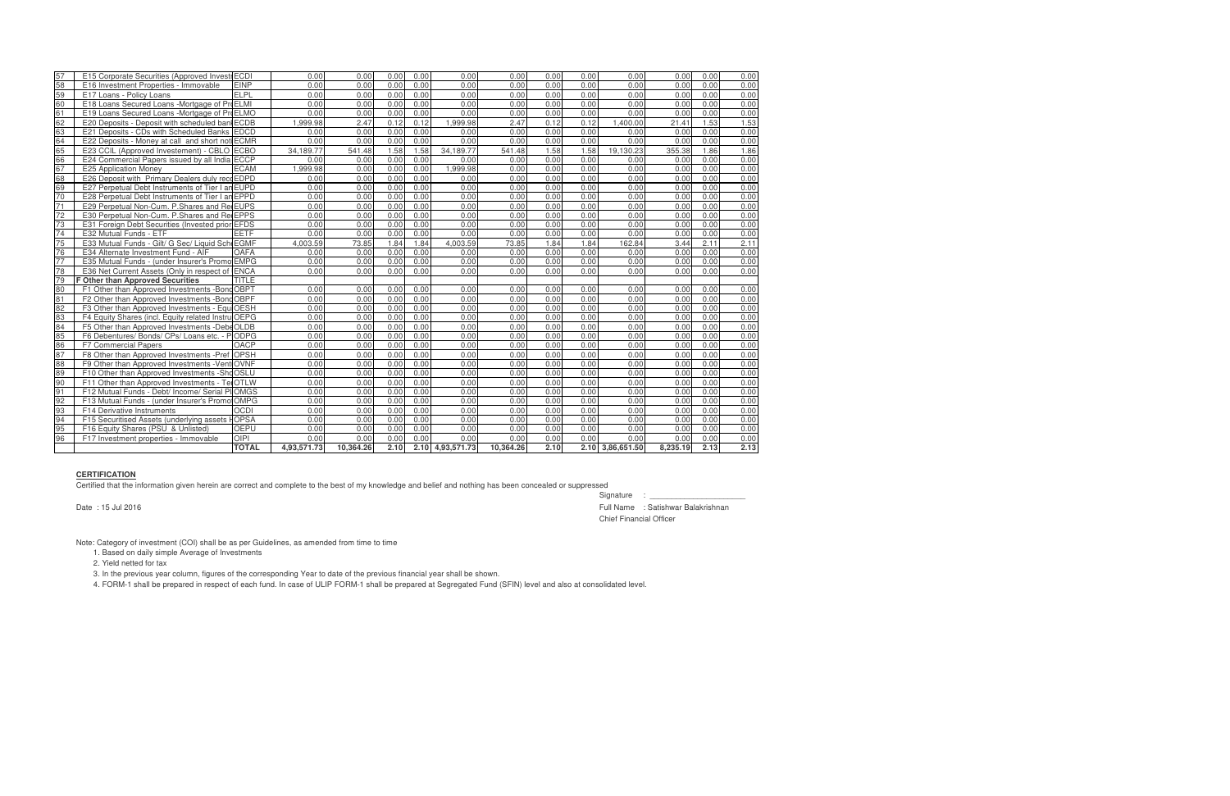| 57 | E15 Corporate Securities (Approved InvestrECDI     |              | 0.00        | 0.00      | 0.00 | 0.00 | 0.00             | 0.00      | 0.00 | 0.00 | 0.00             | 0.00     | 0.00 | 0.00 |
|----|----------------------------------------------------|--------------|-------------|-----------|------|------|------------------|-----------|------|------|------------------|----------|------|------|
| 58 | E16 Investment Properties - Immovable              | <b>EINP</b>  | 0.00        | 0.00      | 0.00 | 0.00 | 0.00             | 0.00      | 0.00 | 0.00 | 0.00             | 0.00     | 0.00 | 0.00 |
| 59 | E17 Loans - Policy Loans                           | ELPL         | 0.00        | 0.00      | 0.00 | 0.00 | 0.00             | 0.00      | 0.00 | 0.00 | 0.00             | 0.00     | 0.00 | 0.00 |
| 60 | E18 Loans Secured Loans - Mortgage of Pro ELMI     |              | 0.00        | 0.00      | 0.00 | 0.00 | 0.00             | 0.00      | 0.00 | 0.00 | 0.00             | 0.00     | 0.00 | 0.00 |
| 61 | E19 Loans Secured Loans -Mortgage of ProELMO       |              | 0.00        | 0.00      | 0.00 | 0.00 | 0.00             | 0.00      | 0.00 | 0.00 | 0.00             | 0.00     | 0.00 | 0.00 |
| 62 | E20 Deposits - Deposit with scheduled ban ECDB     |              | 1.999.98    | 2.47      | 0.12 | 0.12 | 1.999.98         | 2.47      | 0.12 | 0.12 | 1.400.00         | 21.41    | 1.53 | 1.53 |
| 63 | E21 Deposits - CDs with Scheduled Banks EDCD       |              | 0.00        | 0.00      | 0.00 | 0.00 | 0.00             | 0.00      | 0.00 | 0.00 | 0.00             | 0.00     | 0.00 | 0.00 |
| 64 | E22 Deposits - Money at call and short not ECMR    |              | 0.00        | 0.00      | 0.00 | 0.00 | 0.00             | 0.00      | 0.00 | 0.00 | 0.00             | 0.00     | 0.00 | 0.00 |
| 65 | E23 CCIL (Approved Investement) - CBLO ECBO        |              | 34.189.77   | 541.48    | 1.58 | 1.58 | 34.189.77        | 541.48    | 1.58 | 1.58 | 19.130.23        | 355.38   | 1.86 | 1.86 |
| 66 | E24 Commercial Papers issued by all India ECCP     |              | 0.00        | 0.00      | 0.00 | 0.00 | 0.00             | 0.00      | 0.00 | 0.00 | 0.00             | 0.00     | 0.00 | 0.00 |
| 67 | <b>E25 Application Money</b>                       | <b>ECAM</b>  | 1.999.98    | 0.00      | 0.00 | 0.00 | 1.999.98         | 0.00      | 0.00 | 0.00 | 0.00             | 0.00     | 0.00 | 0.00 |
| 68 | E26 Deposit with Primary Dealers duly recoEDPD     |              | 0.00        | 0.00      | 0.00 | 0.00 | 0.00             | 0.00      | 0.00 | 0.00 | 0.00             | 0.00     | 0.00 | 0.00 |
| 69 | E27 Perpetual Debt Instruments of Tier I an EUPD   |              | 0.00        | 0.00      | 0.00 | 0.00 | 0.00             | 0.00      | 0.00 | 0.00 | 0.00             | 0.00     | 0.00 | 0.00 |
| 70 | E28 Perpetual Debt Instruments of Tier I an EPPD   |              | 0.00        | 0.00      | 0.00 | 0.00 | 0.00             | 0.00      | 0.00 | 0.00 | 0.00             | 0.00     | 0.00 | 0.00 |
| 71 | E29 Perpetual Non-Cum. P.Shares and Re EUPS        |              | 0.00        | 0.00      | 0.00 | 0.00 | 0.00             | 0.00      | 0.00 | 0.00 | 0.00             | 0.00     | 0.00 | 0.00 |
| 72 | E30 Perpetual Non-Cum. P. Shares and Re EPPS       |              | 0.00        | 0.00      | 0.00 | 0.00 | 0.00             | 0.00      | 0.00 | 0.00 | 0.00             | 0.00     | 0.00 | 0.00 |
| 73 | E31 Foreign Debt Securities (Invested prior EFDS   |              | 0.00        | 0.00      | 0.00 | 0.00 | 0.00             | 0.00      | 0.00 | 0.00 | 0.00             | 0.00     | 0.00 | 0.00 |
| 74 | E32 Mutual Funds - ETF                             | <b>EETF</b>  | 0.00        | 0.00      | 0.00 | 0.00 | 0.00             | 0.00      | 0.00 | 0.00 | 0.00             | 0.00     | 0.00 | 0.00 |
| 75 | E33 Mutual Funds - Gilt/ G Sec/ Liquid Sch EGMF    |              | 4.003.59    | 73.85     | 1.84 | 1.84 | 4.003.59         | 73.85     | 1.84 | 1.84 | 162.84           | 3.44     | 2.11 | 2.11 |
| 76 | E34 Alternate Investment Fund - AIF                | <b>OAFA</b>  | 0.00        | 0.00      | 0.00 | 0.00 | 0.00             | 0.00      | 0.00 | 0.00 | 0.00             | 0.00     | 0.00 | 0.00 |
| 77 | E35 Mutual Funds - (under Insurer's Promo EMPG     |              | 0.00        | 0.00      | 0.00 | 0.00 | 0.00             | 0.00      | 0.00 | 0.00 | 0.00             | 0.00     | 0.00 | 0.00 |
| 78 | E36 Net Current Assets (Only in respect of ENCA    |              | 0.00        | 0.00      | 0.00 | 0.00 | 0.00             | 0.00      | 0.00 | 0.00 | 0.00             | 0.00     | 0.00 | 0.00 |
| 79 | <b>F Other than Approved Securities</b>            | <b>TITLE</b> |             |           |      |      |                  |           |      |      |                  |          |      |      |
| 80 | F1 Other than Approved Investments - Bond OBPT     |              | 0.00        | 0.00      | 0.00 | 0.00 | 0.00             | 0.00      | 0.00 | 0.00 | 0.00             | 0.00     | 0.00 | 0.00 |
| 81 | F2 Other than Approved Investments -Bond OBPF      |              | 0.00        | 0.00      | 0.00 | 0.00 | 0.00             | 0.00      | 0.00 | 0.00 | 0.00             | 0.00     | 0.00 | 0.00 |
| 82 | F3 Other than Approved Investments - Equ OESH      |              | 0.00        | 0.00      | 0.00 | 0.00 | 0.00             | 0.00      | 0.00 | 0.00 | 0.00             | 0.00     | 0.00 | 0.00 |
| 83 | F4 Equity Shares (incl. Equity related Instru OEPG |              | 0.00        | 0.00      | 0.00 | 0.00 | 0.00             | 0.00      | 0.00 | 0.00 | 0.00             | 0.00     | 0.00 | 0.00 |
| 84 | F5 Other than Approved Investments -DebeOLDB       |              | 0.00        | 0.00      | 0.00 | 0.00 | 0.00             | 0.00      | 0.00 | 0.00 | 0.00             | 0.00     | 0.00 | 0.00 |
| 85 | F6 Debentures/ Bonds/ CPs/ Loans etc. - PODPG      |              | 0.00        | 0.00      | 0.00 | 0.00 | 0.00             | 0.00      | 0.00 | 0.00 | 0.00             | 0.00     | 0.00 | 0.00 |
| 86 | <b>F7 Commercial Papers</b>                        | OACP         | 0.00        | 0.00      | 0.00 | 0.00 | 0.00             | 0.00      | 0.00 | 0.00 | 0.00             | 0.00     | 0.00 | 0.00 |
| 87 | F8 Other than Approved Investments -Pref OPSH      |              | 0.00        | 0.00      | 0.00 | 0.00 | 0.00             | 0.00      | 0.00 | 0.00 | 0.00             | 0.00     | 0.00 | 0.00 |
| 88 | F9 Other than Approved Investments - Vent OVNF     |              | 0.00        | 0.00      | 0.00 | 0.00 | 0.00             | 0.00      | 0.00 | 0.00 | 0.00             | 0.00     | 0.00 | 0.00 |
| 89 | F10 Other than Approved Investments - Sho OSLU     |              | 0.00        | 0.00      | 0.00 | 0.00 | 0.00             | 0.00      | 0.00 | 0.00 | 0.00             | 0.00     | 0.00 | 0.00 |
| 90 | F11 Other than Approved Investments - Tel OTLW     |              | 0.00        | 0.00      | 0.00 | 0.00 | 0.00             | 0.00      | 0.00 | 0.00 | 0.00             | 0.00     | 0.00 | 0.00 |
| 91 | F12 Mutual Funds - Debt/ Income/ Serial PI OMGS    |              | 0.00        | 0.00      | 0.00 | 0.00 | 0.00             | 0.00      | 0.00 | 0.00 | 0.00             | 0.00     | 0.00 | 0.00 |
| 92 | F13 Mutual Funds - (under Insurer's PromotOMPG     |              | 0.00        | 0.00      | 0.00 | 0.00 | 0.00             | 0.00      | 0.00 | 0.00 | 0.00             | 0.00     | 0.00 | 0.00 |
| 93 | <b>F14 Derivative Instruments</b>                  | <b>OCDI</b>  | 0.00        | 0.00      | 0.00 | 0.00 | 0.00             | 0.00      | 0.00 | 0.00 | 0.00             | 0.00     | 0.00 | 0.00 |
| 94 | F15 Securitised Assets (underlying assets HOPSA    |              | 0.00        | 0.00      | 0.00 | 0.00 | 0.00             | 0.00      | 0.00 | 0.00 | 0.00             | 0.00     | 0.00 | 0.00 |
| 95 | F16 Equity Shares (PSU & Unlisted)                 | <b>OEPU</b>  | 0.00        | 0.00      | 0.00 | 0.00 | 0.00             | 0.00      | 0.00 | 0.00 | 0.00             | 0.00     | 0.00 | 0.00 |
| 96 | F17 Investment properties - Immovable              | <b>OIPI</b>  | 0.00        | 0.00      | 0.00 | 0.00 | 0.00             | 0.00      | 0.00 | 0.00 | 0.00             | 0.00     | 0.00 | 0.00 |
|    |                                                    | <b>TOTAL</b> | 4,93,571.73 | 10,364.26 | 2.10 |      | 2.10 4,93,571.73 | 10,364.26 | 2.10 |      | 2.10 3,86,651.50 | 8,235.19 | 2.13 | 2.13 |

## **CERTIFICATION**

Certified that the information given herein are correct and complete to the best of my knowledge and belief and nothing has been concealed or suppressed

Signature : \_\_\_\_\_\_\_\_\_\_\_\_\_\_\_\_\_\_\_\_\_\_ Date : 15 Jul 2016 Full Name : Satishwar Balakrishnan Chief Financial Officer

Note: Category of investment (COI) shall be as per Guidelines, as amended from time to time

1. Based on daily simple Average of Investments

2. Yield netted for tax

3. In the previous year column, figures of the corresponding Year to date of the previous financial year shall be shown.

4. FORM-1 shall be prepared in respect of each fund. In case of ULIP FORM-1 shall be prepared at Segregated Fund (SFIN) level and also at consolidated level.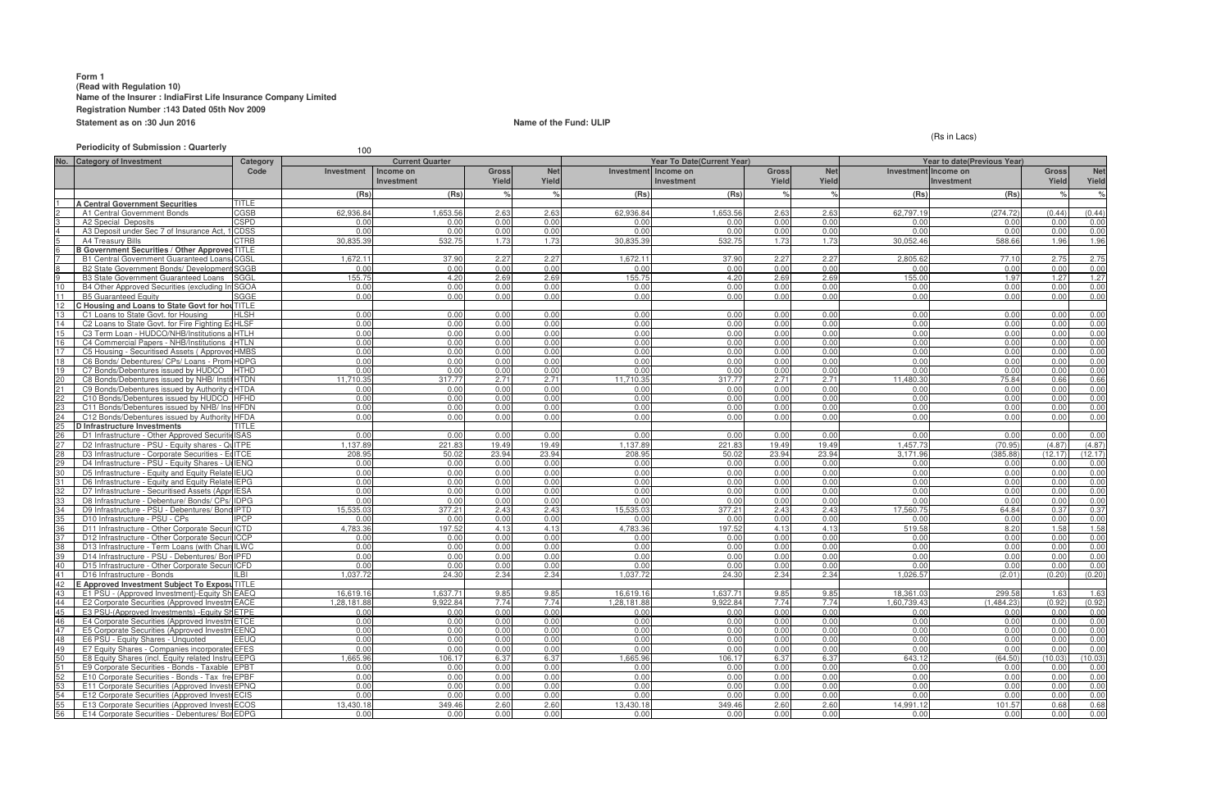## **Form 1 (Read with Regulation 10) Name of the Insurer : IndiaFirst Life Insurance Company Limited Registration Number :143 Dated 05th Nov 2009 Statement as on :30 Jun 2016 Name of the Fund: ULIP Name of the Fund: ULIP**

**Periodicity of Submission : Quarterly** 100

**No. Category of Investment Investment Income on Investment Gross Yield Ne Yield Investment Income on Investment Gross Yield Net Yield Inve (Rs) (Rs) % % (Rs) (Rs) % % (Rs) (Rs) % % 4 Central Government Securities** TITLE<br>
A1 Central Government Bonds CGSB 2 A1 Central Government Bonds CGSB 262,936.84 1,653.56 2.63 2.63 2.63 62,936.84 1,653.56 2.63 2.63 2.63 62,797.19 (274.72) (0.44) (0.44) 3 A2 Special Deposits CSPD 0.00 0.00 0.00 0.00 0.00 0.00 0.00 0.00 0.00 0.00 0.00 0.00 4 A3 Deposit under Sec 7 of Insurance Act, 1938 CDSS 0.00 0.00 0.00 0.00 0.00 0.00 0.00 0.00 0.00 0.00 0.00 0.00 5 | A4 Treasury Bills 30,835.39 | 532.75 | 1.73 | 532.75 | 1.73 | 1.73 | 30,052.46 | 588.66 | 1.96 | 1.96 | 1.96 **B Government Securities / Other Approved TITLE** 7 B1 Central Government Guaranteed Loans/ Special/ N CGSL on-SLR Bonds 1,672.11 37.90 2.27 2.27 1,672.11 37.90 2.27 2.27 2,805.62 77.10 2.75 2.75 8 B2 State Government Bonds/ Development Loans SGGB0.00 0.00 0.00 0.00 0.00 0.00 0.00 0.00 0.00 0.00 0.00 0.00 9 B3 State Government Guaranteed Loans SGGL 155.75 4.20 2.69 2.69 155.75 4.20 2.69 2.69 155.00 1.97 1.27 1.27 10 B4 Other Approved Securities (excluding Infrastructur SGOA e Investments) 0.00 0.00 0.00 0.00 0.00 0.00 0.00 0.00 0.00 0.00 0.00 0.00 11 B5 Guaranteed Equity SGGE 0.00 0.00 0.00 0.00 0.00 0.00 0.00 0.00 0.00 0.00 0.00 0.00 12 **C Housing and Loans to State Govt for hou** TITLE **in All C1 Loans to State Govt** for Housing **in Fight** SH 13 C1 Loans to State Govt. for Housing HLSH 0.00 0.00 0.00 0.00 0.00 0.00 0.00 0.00 0.00 0.00 0.00 0.00 14 C2 Loans to State Govt. for Fire Fighting Ed HLSF 15 C3 Term Loan - HUDCO/NHB/Institutions accredited by HTLH NHB 0.00 0.00 0.00 0.00 0.00 0.00 0.00 0.00 0.00 0.00 0.00 0.00 16 C4 Commercial Papers - NHB/Institutions accredited by HTLN NHB 0.00 0.00 0.00 0.00 0.00 0.00 0.00 0.00 0.00 0.00 0.00 0.00 17 C5 Housing - Securitised Assets ( Approved Investment) HMBS 0.00 0.00 0.00 0.00 0.00 0.00 0.00 0.00 0.00 0.00 0.00 0.00 18 C6 Bonds/ Debentures/ CPs/ Loans - Prom 19 C7 Bonds/Debentures issued by HUDCO HTHD 0.00 0.00 0.00 0.00 0.00 0.00 0.00 0.00 0.00 0.00 0.00 0.00 C8 Bonds/Debentures issued by NHB/ Institutions accredit HTDN 21 C9 Bonds/Debentures issued by Authority constituted un HTDA der any Housing/Building scheme approved by Central/St 0.00 0.00 ate/any Authority or Body constituted by Central/Stat 0.00 0.00 0.00 e Act. 0.00 0.00 0.00 0.00 0.00 0.00 0.00 C10 Bonds/Debentures issued by HUDCO 23 C11 Bonds/Debentures issued by NHB/ Institutions accredition according to the bond of the bond of the bond of the bond of the bond of the bond of the bond of the bond of the bond of the bond of the bond of the bond of C12 Bonds/Debentures issued by Authority HFDA **D Infrastructure Investments** TITLE 26 D1 Infrastructure - Other Approved SecuritiesISAS 0.00 0.00 0.00 0.00 0.00 0.00 0.00 0.00 0.00 0.00 0.00 0.00 27 D2 Infrastructure - PSU - Equity shares - QuITPE | | 1,137.89 1,137.89 221.83 19.49 19.49 19.49 19.49 19.49<br>28 D3 Infrastructure - Corporate Securities - EdITCE | 1,137.89 208.95 23.94 23.94 23.94 23.94 23.94 23.94 23.9 28 D3 Infrastructure - Corporate Securities - Eq ITCE 29 D4 Infrastructure - PSU - Equity Shares - Unquoted IENQ 0.00 0.00 0.00 0.00 0.00 0.00 0.00 0.00 0.00 0.00 0.00 0.00 30 D5 Infrastructure - Equity and Equity Relate IEUQ 31 D6 Infrastructure - Equity and Equity Related Instr IEPG uments (Promoter Group) 0.00 0.00 0.00 0.00 0.00 0.00 0.00 0.00 0.00 0.00 0.00 0.00 32 D7 Infrastructure - Securitised Assets (Appr IESA 33 D8 Infrastructure - Debenture/ Bonds/ CPs/ Loans - Pr IDPG omoter Group 0.00 0.00 0.00 0.00 0.00 0.00 0.00 0.00 0.00 0.00 0.00 0.00 34 D9 Infrastructure - PSU - Debentures/ Bond IPTD 35 D10 Infrastructure - PSU - CPs IPCP 0.00 0.00 0.00 0.00 0.00 0.00 0.00 0.00 0.00 0.00 0.00 0.00 36 D11 Infrastructure - Other Corporate Securities- Deb ICTD entures/ Bonds 4,783.36 197.52 4.13 4.13 4,783.36 197.52 4.13 4.13 519.58 8.20 1.58 1.58 37 D12 Infrastructure - Other Corporate Securities - CP ICCP s 0.00 0.00 0.00 0.00 0.00 0.00 0.00 0.00 0.00 0.00 0.00 0.00 38 D13 Infrastructure - Term Loans (with Charge) ILWC 0.00 0.00 0.00 0.00 0.00 0.00 0.00 0.00 0.00 0.00 0.00 0.00 39 D14 Infrastructure - PSU - Debentures/ BondsIPFD 0.00 0.00 0.00 0.00 0.00 0.00 0.00 0.00 0.00 0.00 0.00 0.00 10 D15 Infrastructure - Other Corporate Securi<sup>ICFD</sup> 41 D16 Infrastructure - Bonds |ILBI | 1,037.72| 24.30| 2.34| 1,037.72| 24.30| 2.34| 2.34| 1,026.57| (2.01)| (0.20)| (0.20) **E Approved Investment Subject To Exposu TITLE** 43 E1 PSU - (Approved Investment)-Equity Sh EAEQ 1 = 16,619.16 1,637.71 9.85 9.85 9.85 16,619.16 1,637.71 9.85 9.85 18,<br>44 E2 Corporate Securities (Approved Investm EACE 1 = 1,28,181.88 9,922.84 7.74 7.74 7.74 1,28,181.88 44 E2 Corporate Securities (Approved Investment Securities (Approved Investment Securities (Approved Investments)<br>45 E3 PSU-(Approved Investments) -Equity Shett PE 1,28,181.88 9,922.84 7.74 7.74 7.74 1,28,181.88 9,922.84 7 45 E3 PSU-(Approved Investments) -Equity Shares -quote ETPE d 0.00 0.00 0.00 0.00 0.00 0.00 0.00 0.00 0.00 0.00 0.00 0.00 46 E4 Corporate Securities (Approved Investmet CTCE 47 E5 Corporate Securities (Approved Investment ) -Equ EENQ ity Unquoted 0.00 0.00 0.00 0.00 0.00 0.00 0.00 0.00 0.00 0.00 0.00 0.00 48 E6 PSU - Equity Shares - Unquoted 49 E7 Equity Shares - Companies incorporated outside In EFES dia (invested prior to IRDA Regulations) 0.00 0.00 0.00 0.00 0.00 0.00 0.00 0.00 0.00 0.00 0.00 0.00 50 **E8 Equity Shares (incl. Equity related Instru EEPG** 51 E9 Corporate Securities - Bonds - Taxable EPBT 0.00 0.00 0.00 0.00 0.00 0.00 0.00 0.00 0.00 0.00 0.00 0.00 E10 Corporate Securities - Bonds - Tax freeEPBF 53 E11 Corporate Securities (Approved Investment ) -Pr EPNQ ef Shares 0.00 0.00 0.00 0.00 0.00 0.00 0.00 0.00 0.00 0.00 0.00 0.00 54 E12 Corporate Securities (Approved Investre ECIS and the company of the company of the corporate Securities (Approved Investre ECIS and the company of the company of the company of the company of the company of the comp 55 E13 Corporate Securities (Approved Investment ) -De ECOS bentures 13,430.18 349.46 2.60 2.60 13,430.18 349.46 2.60 2.60 14,991.12 101.57 0.68 0.68 E14 Corporate Securities - Debentures/ Bor EDPG **Category Code Current Quarter Year To Date(Current Year) Year To Date(Current Year)** 

## (Rs in Lacs)

|              | <b>Year to date(Previous Year)</b> |              |              |
|--------------|------------------------------------|--------------|--------------|
|              | stment Income on                   | <b>Gross</b> | <b>Net</b>   |
|              | <b>Investment</b>                  | Yield        | Yield        |
| (Rs)         | (Rs)                               | $\%$         | ℅            |
|              |                                    |              |              |
| 797.19       | (274.72)                           | (0.44)       | (0.44)       |
| 0.00         | 0.00                               | 0.00         | 0.00         |
| 0.00         | 0.00                               | 0.00         | 0.00         |
| 052.46       | 588.66                             | 1.96         | 1.96         |
|              |                                    |              |              |
| 805.62       | 77.10                              | 2.75         | 2.75         |
| 0.00         | 0.00                               | 0.00         | 0.00         |
| 155.00       | 1.97                               | 1.27         | 1.27         |
| 0.00         | 0.00                               | 0.00         | 0.00         |
| 0.00         | 0.00                               | 0.00         | 0.00         |
|              |                                    |              |              |
| 0.00         | 0.00                               | 0.00         | 0.00         |
| 0.00         | 0.00                               | 0.00         | 0.00         |
| 0.00         | 0.00                               | 0.00         | 0.00         |
| 0.00         | 0.00                               | 0.00         | 0.00         |
| 0.00         | 0.00                               | 0.00         | 0.00         |
| 0.00         | 0.00                               | 0.00         | 0.00         |
| 0.00         | 0.00                               | 0.00         | 0.00         |
| 480.30       | 75.84                              | 0.66         | 0.66         |
| 0.00         | 0.00                               | 0.00         | 0.00         |
| 0.00         | 0.00                               | 0.00         | 0.00         |
| 0.00         | 0.00                               | 0.00         | 0.00         |
| 0.00         | 0.00                               | 0.00         | 0.00         |
|              |                                    |              |              |
| 0.00         | 0.00                               | 0.00         | 0.00         |
| 457.73       | (70.95)                            | (4.87)       | (4.87)       |
| 171.96       | (385.88)                           | (12.17)      | (12.17)      |
| 0.00         | 0.00                               | 0.00         | 0.00         |
| 0.00         | 0.00                               | 0.00         | 0.00         |
| 0.00         | 0.00                               | 0.00         | 0.00         |
| 0.00         | 0.00                               | 0.00         | 0.00         |
| 0.00         | 0.00                               | 0.00         | 0.00         |
| 560.75       | 64.84                              | 0.37         | 0.37         |
| 0.00         | 0.00                               | 0.00         | 0.00         |
| 519.58       | 8.20                               | 1.58         | 1.58         |
| 0.00         | 0.00                               | 0.00         | 0.00         |
| 0.00         | 0.00                               | 0.00         | 0.00         |
| 0.00         | 0.00                               | 0.00         | 0.00         |
| 0.00         | 0.00                               | 0.00         | 0.00         |
| 026.57       | (2.01)                             | (0.20)       | (0.20)       |
| 361.03       | 299.58                             | 1.63         | 1.63         |
| 739.43       | (1, 484.23)                        | (0.92)       | (0.92)       |
| 0.00         | 0.00                               | 0.00         | 0.00         |
|              |                                    |              |              |
| 0.00<br>0.00 | 0.00<br>0.00                       | 0.00<br>0.00 | 0.00<br>0.00 |
| 0.00         | 0.00                               | 0.00         | 0.00         |
| 0.00         | 0.00                               | 0.00         | 0.00         |
| 643.12       | (64.50)                            | (10.03)      | (10.03)      |
| 0.00         | 0.00                               | 0.00         | 0.00         |
| 0.00         | 0.00                               | 0.00         | 0.00         |
| 0.00         | 0.00                               | 0.00         | 0.00         |
| 0.00         | 0.00                               | 0.00         | 0.00         |
| 991.12       | 101.57                             | 0.68         | 0.68         |
| 0.00         | 0.00                               | 0.00         | 0.00         |
|              |                                    |              |              |